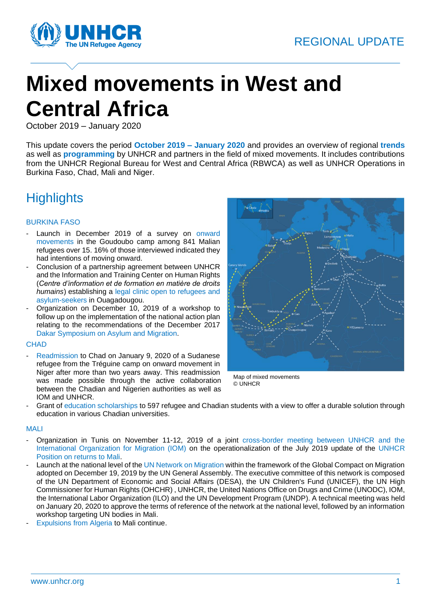

# **Mixed movements in West and Central Africa**

October 2019 – January 2020

This update covers the period **October 2019 – January 2020** and provides an overview of regional **trends** as well as **programming** by UNHCR and partners in the field of mixed movements. It includes contributions from the UNHCR Regional Bureau for West and Central Africa (RBWCA) as well as UNHCR Operations in Burkina Faso, Chad, Mali and Niger.

### **Highlights**

#### BURKINA FASO

- Launch in December 2019 of a survey on onward movements in the Goudoubo camp among 841 Malian refugees over 15. 16% of those interviewed indicated they had intentions of moving onward.
- Conclusion of a partnership agreement between UNHCR and the Information and Training Center on Human Rights (*Centre d'information et de formation en matière de droits humains*) establishing a legal clinic open to refugees and asylum-seekers in Ouagadougou.
- Organization on December 10, 2019 of a workshop to follow up on the implementation of the national action plan relating to the recommendations of the December 2017 Dakar Symposium on Asylum and Migration.

#### **CHAD**

Readmission to Chad on January 9, 2020 of a Sudanese refugee from the Tréguine camp on onward movement in Niger after more than two years away. This readmission was made possible through the active collaboration between the Chadian and Nigerien authorities as well as IOM and UNHCR.



Map of mixed movements © UNHCR

Grant of education scholarships to 597 refugee and Chadian students with a view to offer a durable solution through education in various Chadian universities.

#### MALI

- Organization in Tunis on November 11-12, 2019 of a joint cross-border meeting between UNHCR and the International Organization for Migration (IOM) on the operationalization of the July 2019 update of the [UNHCR](https://www.refworld.org/cgi-bin/texis/vtx/rwmain?docid=5d35ce9a4)  [Position on returns to Mali.](https://www.refworld.org/cgi-bin/texis/vtx/rwmain?docid=5d35ce9a4)
- Launch at the national level of the UN Network on Migration within the framework of the Global Compact on Migration adopted on December 19, 2019 by the UN General Assembly. The executive committee of this network is composed of the UN Department of Economic and Social Affairs (DESA), the UN Children's Fund (UNICEF), the UN High Commissioner for Human Rights (OHCHR) , UNHCR, the United Nations Office on Drugs and Crime (UNODC), IOM, the International Labor Organization (ILO) and the UN Development Program (UNDP). A technical meeting was held on January 20, 2020 to approve the terms of reference of the network at the national level, followed by an information workshop targeting UN bodies in Mali.
- Expulsions from Algeria to Mali continue.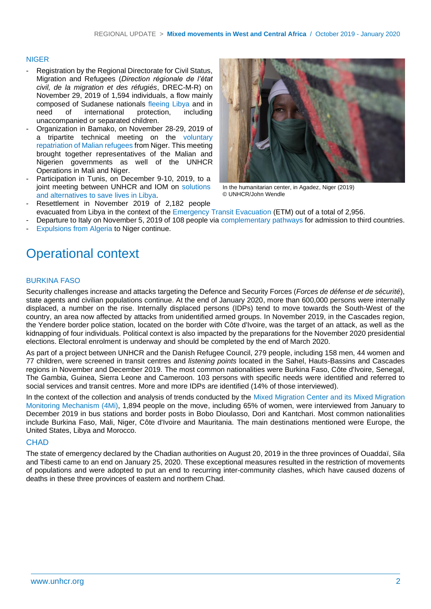#### NIGER

- Registration by the Regional Directorate for Civil Status, Migration and Refugees (*Direction régionale de l'état civil, de la migration et des réfugiés*, DREC-M-R) on November 29, 2019 of 1,594 individuals, a flow mainly composed of Sudanese nationals fleeing Libya and in need of international protection, including unaccompanied or separated children.
- Organization in Bamako, on November 28-29, 2019 of a tripartite technical meeting on the voluntary repatriation of Malian refugees from Niger. This meeting brought together representatives of the Malian and Nigerien governments as well of the UNHCR Operations in Mali and Niger.
- Participation in Tunis, on December 9-10, 2019, to a joint meeting between UNHCR and IOM on solutions and alternatives to save lives in Libya. Resettlement in November 2019 of 2,182 people



In the humanitarian center, in Agadez, Niger (2019) © UNHCR/John Wendle

- evacuated from Libya in the context of the Emergency Transit Evacuation (ETM) out of a total of 2,956.
- Departure to Italy on November 5, 2019 of 108 people via complementary pathways for admission to third countries. Expulsions from Algeria to Niger continue.

Operational context

#### BURKINA FASO

Security challenges increase and attacks targeting the Defence and Security Forces (*Forces de défense et de sécurité*), state agents and civilian populations continue. At the end of January 2020, more than 600,000 persons were internally displaced, a number on the rise. Internally displaced persons (IDPs) tend to move towards the South-West of the country, an area now affected by attacks from unidentified armed groups. In November 2019, in the Cascades region, the Yendere border police station, located on the border with Côte d'Ivoire, was the target of an attack, as well as the kidnapping of four individuals. Political context is also impacted by the preparations for the November 2020 presidential elections. Electoral enrolment is underway and should be completed by the end of March 2020.

As part of a project between UNHCR and the Danish Refugee Council, 279 people, including 158 men, 44 women and 77 children, were screened in transit centres and *listening points* located in the Sahel, Hauts-Bassins and Cascades regions in November and December 2019. The most common nationalities were Burkina Faso, Côte d'Ivoire, Senegal, The Gambia, Guinea, Sierra Leone and Cameroon. 103 persons with specific needs were identified and referred to social services and transit centres. More and more IDPs are identified (14% of those interviewed).

In the context of the collection and analysis of trends conducted by the [Mixed Migration Center](http://www.mixedmigration.org/regions/west-africa/) and its Mixed Migration [Monitoring Mechanism \(4Mi\),](http://www.mixedmigration.org/regions/west-africa/) 1,894 people on the move, including 65% of women, were interviewed from January to December 2019 in bus stations and border posts in Bobo Dioulasso, Dori and Kantchari. Most common nationalities include Burkina Faso, Mali, Niger, Côte d'Ivoire and Mauritania. The main destinations mentioned were Europe, the United States, Libya and Morocco.

#### **CHAD**

The state of emergency declared by the Chadian authorities on August 20, 2019 in the three provinces of Ouaddaï, Sila and Tibesti came to an end on January 25, 2020. These exceptional measures resulted in the restriction of movements of populations and were adopted to put an end to recurring inter-community clashes, which have caused dozens of deaths in these three provinces of eastern and northern Chad.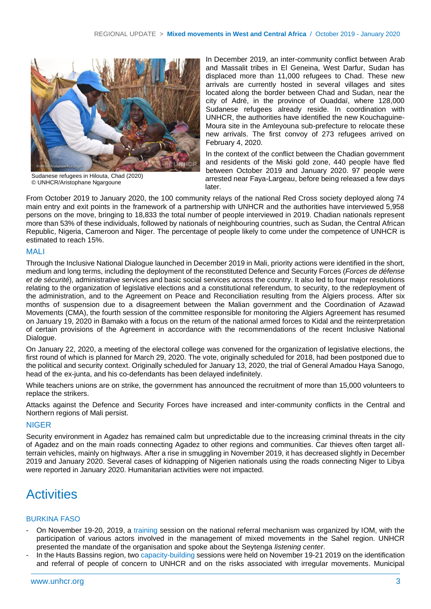

Sudanese refugees in Hilouta, Chad (2020) © UNHCR/Aristophane Ngargoune

In December 2019, an inter-community conflict between Arab and Massalit tribes in El Geneina, West Darfur, Sudan has displaced more than 11,000 refugees to Chad. These new arrivals are currently hosted in several villages and sites located along the border between Chad and Sudan, near the city of Adré, in the province of Ouaddaï, where 128,000 Sudanese refugees already reside. In coordination with UNHCR, the authorities have identified the new Kouchaguine-Moura site in the Amleyouna sub-prefecture to relocate these new arrivals. The first convoy of 273 refugees arrived on February 4, 2020.

In the context of the conflict between the Chadian government and residents of the Miski gold zone, 440 people have fled between October 2019 and January 2020. 97 people were arrested near Faya-Largeau, before being released a few days later.

From October 2019 to January 2020, the 100 community relays of the national Red Cross society deployed along 74 main entry and exit points in the framework of a partnership with UNHCR and the authorities have interviewed 5,958 persons on the move, bringing to 18,833 the total number of people interviewed in 2019. Chadian nationals represent more than 53% of these individuals, followed by nationals of neighbouring countries, such as Sudan, the Central African Republic, Nigeria, Cameroon and Niger. The percentage of people likely to come under the competence of UNHCR is estimated to reach 15%.

### MALI

Through the Inclusive National Dialogue launched in December 2019 in Mali, priority actions were identified in the short, medium and long terms, including the deployment of the reconstituted Defence and Security Forces (*Forces de défense et de sécurité*), administrative services and basic social services across the country. It also led to four major resolutions relating to the organization of legislative elections and a constitutional referendum, to security, to the redeployment of the administration, and to the Agreement on Peace and Reconciliation resulting from the Algiers process. After six months of suspension due to a disagreement between the Malian government and the Coordination of Azawad Movements (CMA), the fourth session of the committee responsible for monitoring the Algiers Agreement has resumed on January 19, 2020 in Bamako with a focus on the return of the national armed forces to Kidal and the reinterpretation of certain provisions of the Agreement in accordance with the recommendations of the recent Inclusive National Dialogue.

On January 22, 2020, a meeting of the electoral college was convened for the organization of legislative elections, the first round of which is planned for March 29, 2020. The vote, originally scheduled for 2018, had been postponed due to the political and security context. Originally scheduled for January 13, 2020, the trial of General Amadou Haya Sanogo, head of the ex-junta, and his co-defendants has been delayed indefinitely.

While teachers unions are on strike, the government has announced the recruitment of more than 15,000 volunteers to replace the strikers.

Attacks against the Defence and Security Forces have increased and inter-community conflicts in the Central and Northern regions of Mali persist.

#### **NIGER**

Security environment in Agadez has remained calm but unpredictable due to the increasing criminal threats in the city of Agadez and on the main roads connecting Agadez to other regions and communities. Car thieves often target allterrain vehicles, mainly on highways. After a rise in smuggling in November 2019, it has decreased slightly in December 2019 and January 2020. Several cases of kidnapping of Nigerien nationals using the roads connecting Niger to Libya were reported in January 2020. Humanitarian activities were not impacted.

### **Activities**

#### BURKINA FASO

- On November 19-20, 2019, a training session on the national referral mechanism was organized by IOM, with the participation of various actors involved in the management of mixed movements in the Sahel region. UNHCR presented the mandate of the organisation and spoke about the Seytenga *listening center*.
- In the Hauts Bassins region, two capacity-building sessions were held on November 19-21 2019 on the identification and referral of people of concern to UNHCR and on the risks associated with irregular movements. Municipal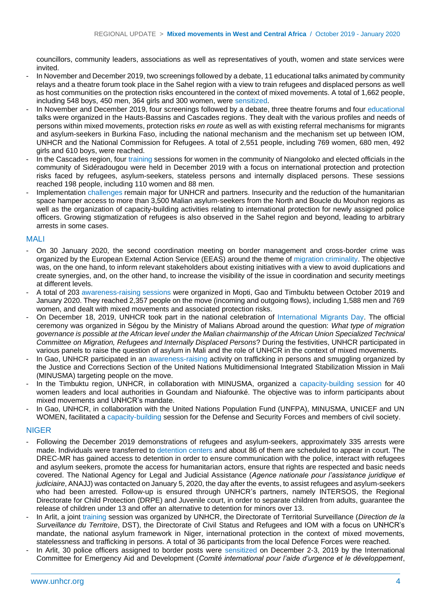councillors, community leaders, associations as well as representatives of youth, women and state services were invited.

- In November and December 2019, two screenings followed by a debate, 11 educational talks animated by community relays and a theatre forum took place in the Sahel region with a view to train refugees and displaced persons as well as host communities on the protection risks encountered in the context of mixed movements. A total of 1,662 people, including 548 boys, 450 men, 364 girls and 300 women, were sensitized.
- In November and December 2019, four screenings followed by a debate, three theatre forums and four educational talks were organized in the Hauts-Bassins and Cascades regions. They dealt with the various profiles and needs of persons within mixed movements, protection risks *en route* as well as with existing referral mechanisms for migrants and asylum-seekers in Burkina Faso, including the national mechanism and the mechanism set up between IOM, UNHCR and the National Commission for Refugees. A total of 2,551 people, including 769 women, 680 men, 492 girls and 610 boys, were reached.
- In the Cascades region, four training sessions for women in the community of Niangoloko and elected officials in the community of Sidéradougou were held in December 2019 with a focus on international protection and protection risks faced by refugees, asylum-seekers, stateless persons and internally displaced persons. These sessions reached 198 people, including 110 women and 88 men.
- Implementation challenges remain major for UNHCR and partners. Insecurity and the reduction of the humanitarian space hamper access to more than 3,500 Malian asylum-seekers from the North and Boucle du Mouhon regions as well as the organization of capacity-building activities relating to international protection for newly assigned police officers. Growing stigmatization of refugees is also observed in the Sahel region and beyond, leading to arbitrary arrests in some cases.

#### MALI

- On 30 January 2020, the second coordination meeting on border management and cross-border crime was organized by the European External Action Service (EEAS) around the theme of migration criminality. The objective was, on the one hand, to inform relevant stakeholders about existing initiatives with a view to avoid duplications and create synergies, and, on the other hand, to increase the visibility of the issue in coordination and security meetings at different levels.
- A total of 203 awareness-raising sessions were organized in Mopti, Gao and Timbuktu between October 2019 and January 2020. They reached 2,357 people on the move (incoming and outgoing flows), including 1,588 men and 769 women, and dealt with mixed movements and associated protection risks.
- On December 18, 2019, UNHCR took part in the national celebration of International Migrants Day. The official ceremony was organized in Ségou by the Ministry of Malians Abroad around the question: *What type of migration governance is possible at the African level under the Malian chairmanship of the African Union Specialized Technical Committee on Migration, Refugees and Internally Displaced Persons*? During the festivities, UNHCR participated in various panels to raise the question of asylum in Mali and the role of UNHCR in the context of mixed movements.
- In Gao, UNHCR participated in an awareness-raising activity on trafficking in persons and smuggling organized by the Justice and Corrections Section of the United Nations Multidimensional Integrated Stabilization Mission in Mali (MINUSMA) targeting people on the move.
- In the Timbuktu region, UNHCR, in collaboration with MINUSMA, organized a capacity-building session for 40 women leaders and local authorities in Goundam and Niafounké. The objective was to inform participants about mixed movements and UNHCR's mandate.
- In Gao, UNHCR, in collaboration with the United Nations Population Fund (UNFPA), MINUSMA, UNICEF and UN WOMEN, facilitated a capacity-building session for the Defense and Security Forces and members of civil society.

#### NIGER

- Following the December 2019 demonstrations of refugees and asylum-seekers, approximately 335 arrests were made. Individuals were transferred to detention centers and about 86 of them are scheduled to appear in court. The DREC-MR has gained access to detention in order to ensure communication with the police, interact with refugees and asylum seekers, promote the access for humanitarian actors, ensure that rights are respected and basic needs covered. The National Agency for Legal and Judicial Assistance (*Agence nationale pour l'assistance juridique et judiciaire*, ANAJJ) was contacted on January 5, 2020, the day after the events, to assist refugees and asylum-seekers who had been arrested. Follow-up is ensured through UNHCR's partners, namely INTERSOS, the Regional Directorate for Child Protection (DRPE) and Juvenile court, in order to separate children from adults, guarantee the release of children under 13 and offer an alternative to detention for minors over 13.
- In Arlit, a joint training session was organized by UNHCR, the Directorate of Territorial Surveillance (*Direction de la Surveillance du Territoire*, DST), the Directorate of Civil Status and Refugees and IOM with a focus on UNHCR's mandate, the national asylum framework in Niger, international protection in the context of mixed movements, statelessness and trafficking in persons. A total of 36 participants from the local Defence Forces were reached.
- In Arlit, 30 police officers assigned to border posts were sensitized on December 2-3, 2019 by the International Committee for Emergency Aid and Development (*Comité international pour l'aide d'urgence et le développement*,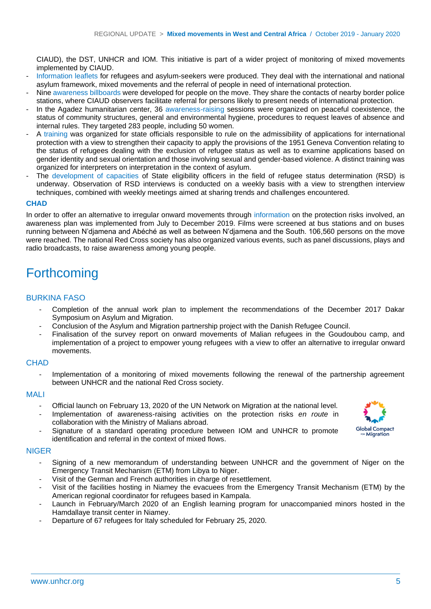CIAUD), the DST, UNHCR and IOM. This initiative is part of a wider project of monitoring of mixed movements implemented by CIAUD.

- Information leaflets for refugees and asylum-seekers were produced. They deal with the international and national asylum framework, mixed movements and the referral of people in need of international protection.
- Nine awareness billboards were developed for people on the move. They share the contacts of nearby border police stations, where CIAUD observers facilitate referral for persons likely to present needs of international protection.
- In the Agadez humanitarian center, 36 awareness-raising sessions were organized on peaceful coexistence, the status of community structures, general and environmental hygiene, procedures to request leaves of absence and internal rules. They targeted 283 people, including 50 women.
- A training was organized for state officials responsible to rule on the admissibility of applications for international protection with a view to strengthen their capacity to apply the provisions of the 1951 Geneva Convention relating to the status of refugees dealing with the exclusion of refugee status as well as to examine applications based on gender identity and sexual orientation and those involving sexual and gender-based violence. A distinct training was organized for interpreters on interpretation in the context of asylum.
- The development of capacities of State eligibility officers in the field of refugee status determination (RSD) is underway. Observation of RSD interviews is conducted on a weekly basis with a view to strengthen interview techniques, combined with weekly meetings aimed at sharing trends and challenges encountered.

#### **CHAD**

In order to offer an alternative to irregular onward movements through information on the protection risks involved, an awareness plan was implemented from July to December 2019. Films were screened at bus stations and on buses running between N'djamena and Abéché as well as between N'djamena and the South. 106,560 persons on the move were reached. The national Red Cross society has also organized various events, such as panel discussions, plays and radio broadcasts, to raise awareness among young people.

### Forthcoming

#### BURKINA FASO

- Completion of the annual work plan to implement the recommendations of the December 2017 Dakar Symposium on Asylum and Migration.
- Conclusion of the Asylum and Migration partnership project with the Danish Refugee Council.
- Finalisation of the survey report on onward movements of Malian refugees in the Goudoubou camp, and implementation of a project to empower young refugees with a view to offer an alternative to irregular onward movements.

#### **CHAD**

Implementation of a monitoring of mixed movements following the renewal of the partnership agreement between UNHCR and the national Red Cross society.

#### MALI

- Official launch on February 13, 2020 of the UN Network on Migration at the national level.
- Implementation of awareness-raising activities on the protection risks *en route* in collaboration with the Ministry of Malians abroad.
- Signature of a standard operating procedure between IOM and UNHCR to promote identification and referral in the context of mixed flows.

## **Global Compact Migration**

#### NIGER

- Signing of a new memorandum of understanding between UNHCR and the government of Niger on the Emergency Transit Mechanism (ETM) from Libya to Niger.
- Visit of the German and French authorities in charge of resettlement.
- Visit of the facilities hosting in Niamey the evacuees from the Emergency Transit Mechanism (ETM) by the American regional coordinator for refugees based in Kampala.
- Launch in February/March 2020 of an English learning program for unaccompanied minors hosted in the Hamdallaye transit center in Niamey.
- Departure of 67 refugees for Italy scheduled for February 25, 2020.